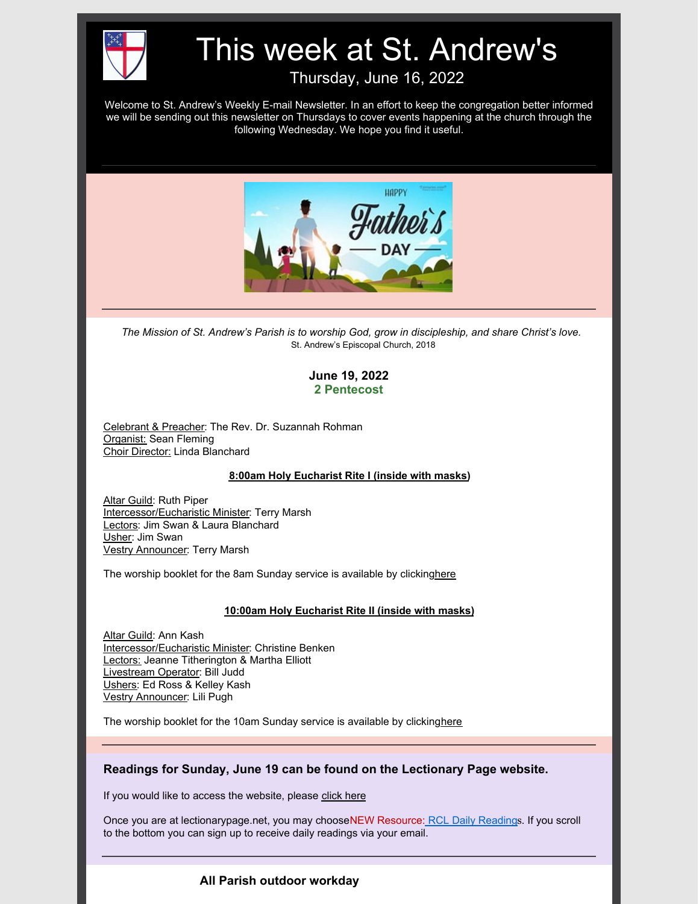

# This week at St. Andrew's

Thursday, June 16, 2022

Welcome to St. Andrew's Weekly E-mail Newsletter. In an effort to keep the congregation better informed we will be sending out this newsletter on Thursdays to cover events happening at the church through the following Wednesday. We hope you find it useful.



*The Mission of St. Andrew's Parish is to worship God, grow in discipleship, and share Christ's love.* St. Andrew's Episcopal Church, 2018

# **June 19, 2022 2 Pentecost**

Celebrant & Preacher: The Rev. Dr. Suzannah Rohman Organist: Sean Fleming Choir Director: Linda Blanchard

#### **8:00am Holy Eucharist Rite I (inside with masks)**

Altar Guild: Ruth Piper Intercessor/Eucharistic Minister: Terry Marsh Lectors: Jim Swan & Laura Blanchard Usher: Jim Swan Vestry Announcer: Terry Marsh

The worship booklet for the 8am Sunday service is available by clickin[ghere](https://files.constantcontact.com/8ee45c8d601/846c60ea-fa15-47d0-8929-bc33bfc7ef92.pdf?rdr=true)

#### **10:00am Holy Eucharist Rite II (inside with masks)**

Altar Guild: Ann Kash Intercessor/Eucharistic Minister: Christine Benken Lectors: Jeanne Titherington & Martha Elliott Livestream Operator: Bill Judd Ushers: Ed Ross & Kelley Kash Vestry Announcer: Lili Pugh

The worship booklet for the 10am Sunday service is available by clickin[ghere](https://files.constantcontact.com/8ee45c8d601/846c60ea-fa15-47d0-8929-bc33bfc7ef92.pdf?rdr=true)

# **Readings for Sunday, June 19 can be found on the Lectionary Page website.**

If you would like to access the website, please [click](https://www.lectionarypage.net/) here

Once you are at lectionarypage.net, you may chooseNEW Resource: RCL Daily [Reading](https://www.lectionarypage.net/#dailylectio)s. If you scroll to the bottom you can sign up to receive daily readings via your email.

# **All Parish outdoor workday**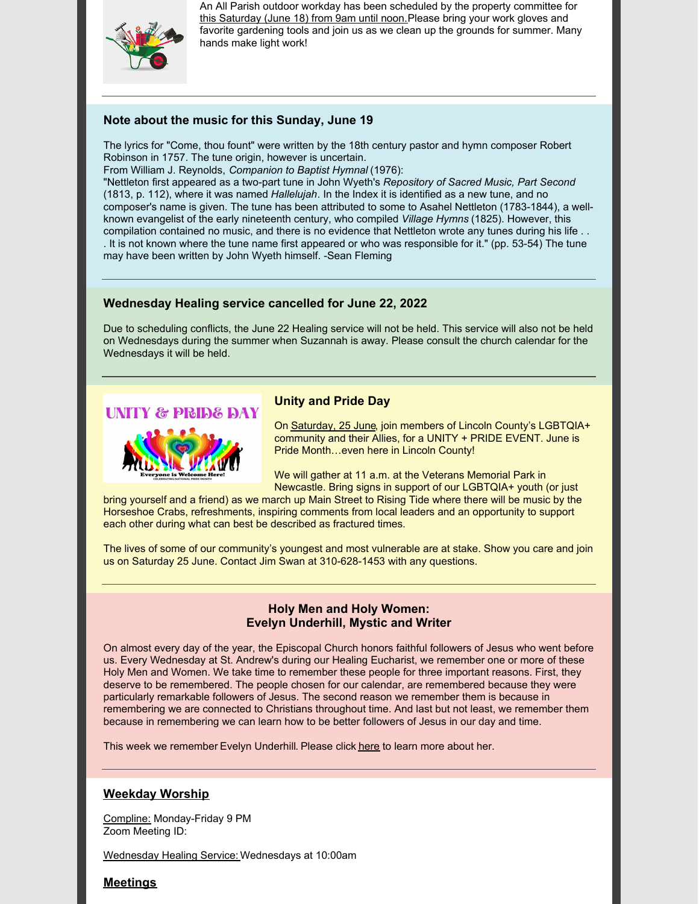

An All Parish outdoor workday has been scheduled by the property committee for this Saturday (June 18) from 9am until noon. Please bring your work gloves and favorite gardening tools and join us as we clean up the grounds for summer. Many hands make light work!

### **Note about the music for this Sunday, June 19**

The lyrics for "Come, thou fount" were written by the 18th century pastor and hymn composer Robert Robinson in 1757. The tune origin, however is uncertain.

From William J. Reynolds, *Companion to Baptist Hymnal* (1976):

"Nettleton first appeared as a two-part tune in John Wyeth's *Repository of Sacred Music, Part Second* (1813, p. 112), where it was named *Hallelujah*. In the Index it is identified as a new tune, and no composer's name is given. The tune has been attributed to some to Asahel Nettleton (1783-1844), a wellknown evangelist of the early nineteenth century, who compiled *Village Hymns* (1825). However, this compilation contained no music, and there is no evidence that Nettleton wrote any tunes during his life . . . It is not known where the tune name first appeared or who was responsible for it." (pp. 53-54) The tune may have been written by John Wyeth himself. -Sean Fleming

### **Wednesday Healing service cancelled for June 22, 2022**

Due to scheduling conflicts, the June 22 Healing service will not be held. This service will also not be held on Wednesdays during the summer when Suzannah is away. Please consult the church calendar for the Wednesdays it will be held.



### **Unity and Pride Day**

On Saturday, 25 June, join members of Lincoln County's LGBTQIA+ community and their Allies, for a UNITY + PRIDE EVENT. June is Pride Month…even here in Lincoln County!

We will gather at 11 a.m. at the Veterans Memorial Park in Newcastle. Bring signs in support of our LGBTQIA+ youth (or just

bring yourself and a friend) as we march up Main Street to Rising Tide where there will be music by the Horseshoe Crabs, refreshments, inspiring comments from local leaders and an opportunity to support each other during what can best be described as fractured times.

The lives of some of our community's youngest and most vulnerable are at stake. Show you care and join us on Saturday 25 June. Contact Jim Swan at 310-628-1453 with any questions.

#### **Holy Men and Holy Women: Evelyn Underhill, Mystic and Writer**

On almost every day of the year, the Episcopal Church honors faithful followers of Jesus who went before us. Every Wednesday at St. Andrew's during our Healing Eucharist, we remember one or more of these Holy Men and Women. We take time to remember these people for three important reasons. First, they deserve to be remembered. The people chosen for our calendar, are remembered because they were particularly remarkable followers of Jesus. The second reason we remember them is because in remembering we are connected to Christians throughout time. And last but not least, we remember them because in remembering we can learn how to be better followers of Jesus in our day and time.

This week we remember Evelyn Underhill. Please click [here](https://files.constantcontact.com/8ee45c8d601/89926fca-4303-47b5-8f3b-e9f50b6684f0.docx?rdr=true) to learn more about her.

# **Weekday Worship**

Compline: Monday-Friday 9 PM Zoom Meeting ID:

Wednesday Healing Service: Wednesdays at 10:00am

# **Meetings**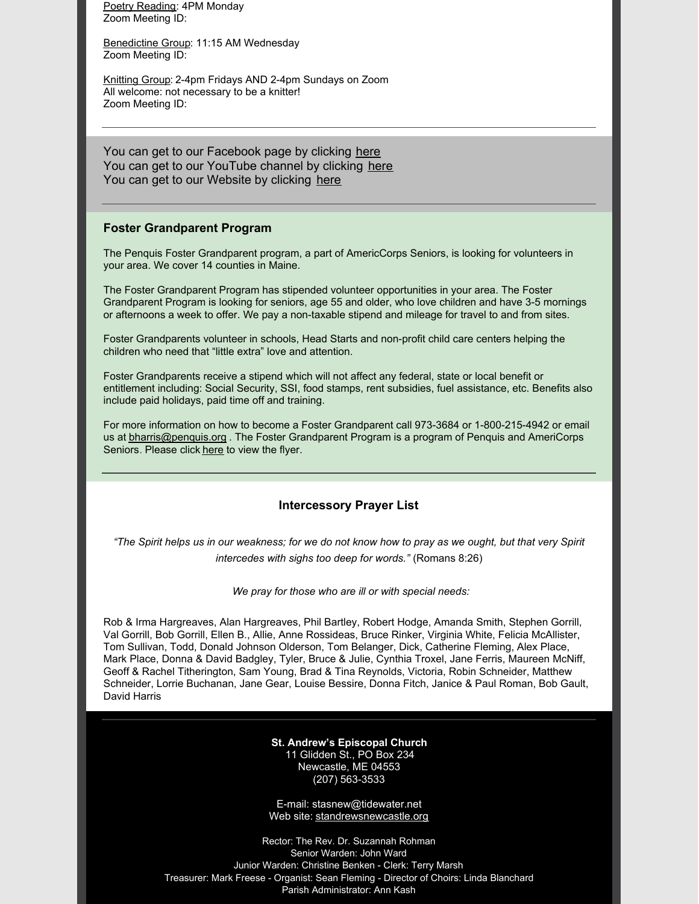Poetry Reading: 4PM Monday Zoom Meeting ID:

Benedictine Group: 11:15 AM Wednesday Zoom Meeting ID:

Knitting Group: 2-4pm Fridays AND 2-4pm Sundays on Zoom All welcome: not necessary to be a knitter! Zoom Meeting ID:

You can get to our Facebook page by clicking [here](https://www.facebook.com/standrewsnewcastle/) You can get to our YouTube channel by clicking [here](https://www.youtube.com/channel/UCMb2OhOTkgC1kSR8DXJI84w) You can get to our Website by clicking [here](https://standrewsnewcastle.org/)

#### **Foster Grandparent Program**

The Penquis Foster Grandparent program, a part of AmericCorps Seniors, is looking for volunteers in your area. We cover 14 counties in Maine.

The Foster Grandparent Program has stipended volunteer opportunities in your area. The Foster Grandparent Program is looking for seniors, age 55 and older, who love children and have 3-5 mornings or afternoons a week to offer. We pay a non-taxable stipend and mileage for travel to and from sites.

Foster Grandparents volunteer in schools, Head Starts and non-profit child care centers helping the children who need that "little extra" love and attention.

Foster Grandparents receive a stipend which will not affect any federal, state or local benefit or entitlement including: Social Security, SSI, food stamps, rent subsidies, fuel assistance, etc. Benefits also include paid holidays, paid time off and training.

For more information on how to become a Foster Grandparent call 973-3684 or 1-800-215-4942 or email us at **[bharris@penquis.org](mailto:bharris@penquis.org)** . The Foster Grandparent Program is a program of Penquis and AmeriCorps Seniors. Please click [here](https://files.constantcontact.com/8ee45c8d601/c21a4884-c976-41db-9756-852f58a05ef0.docx?rdr=true) to view the flyer.

#### **Intercessory Prayer List**

"The Spirit helps us in our weakness; for we do not know how to pray as we ought, but that very Spirit *intercedes with sighs too deep for words."* (Romans 8:26)

*We pray for those who are ill or with special needs:*

Rob & Irma Hargreaves, Alan Hargreaves, Phil Bartley, Robert Hodge, Amanda Smith, Stephen Gorrill, Val Gorrill, Bob Gorrill, Ellen B., Allie, Anne Rossideas, Bruce Rinker, Virginia White, Felicia McAllister, Tom Sullivan, Todd, Donald Johnson Olderson, Tom Belanger, Dick, Catherine Fleming, Alex Place, Mark Place, Donna & David Badgley, Tyler, Bruce & Julie, Cynthia Troxel, Jane Ferris, Maureen McNiff, Geoff & Rachel Titherington, Sam Young, Brad & Tina Reynolds, Victoria, Robin Schneider, Matthew Schneider, Lorrie Buchanan, Jane Gear, Louise Bessire, Donna Fitch, Janice & Paul Roman, Bob Gault, David Harris

> **St. Andrew's Episcopal Church** 11 Glidden St., PO Box 234 Newcastle, ME 04553 (207) 563-3533

E-mail: stasnew@tidewater.net Web site: [standrewsnewcastle.org](http://www.standrewsnewcastle.org/)

Rector: The Rev. Dr. Suzannah Rohman Senior Warden: John Ward Junior Warden: Christine Benken - Clerk: Terry Marsh Treasurer: Mark Freese - Organist: Sean Fleming - Director of Choirs: Linda Blanchard Parish Administrator: Ann Kash